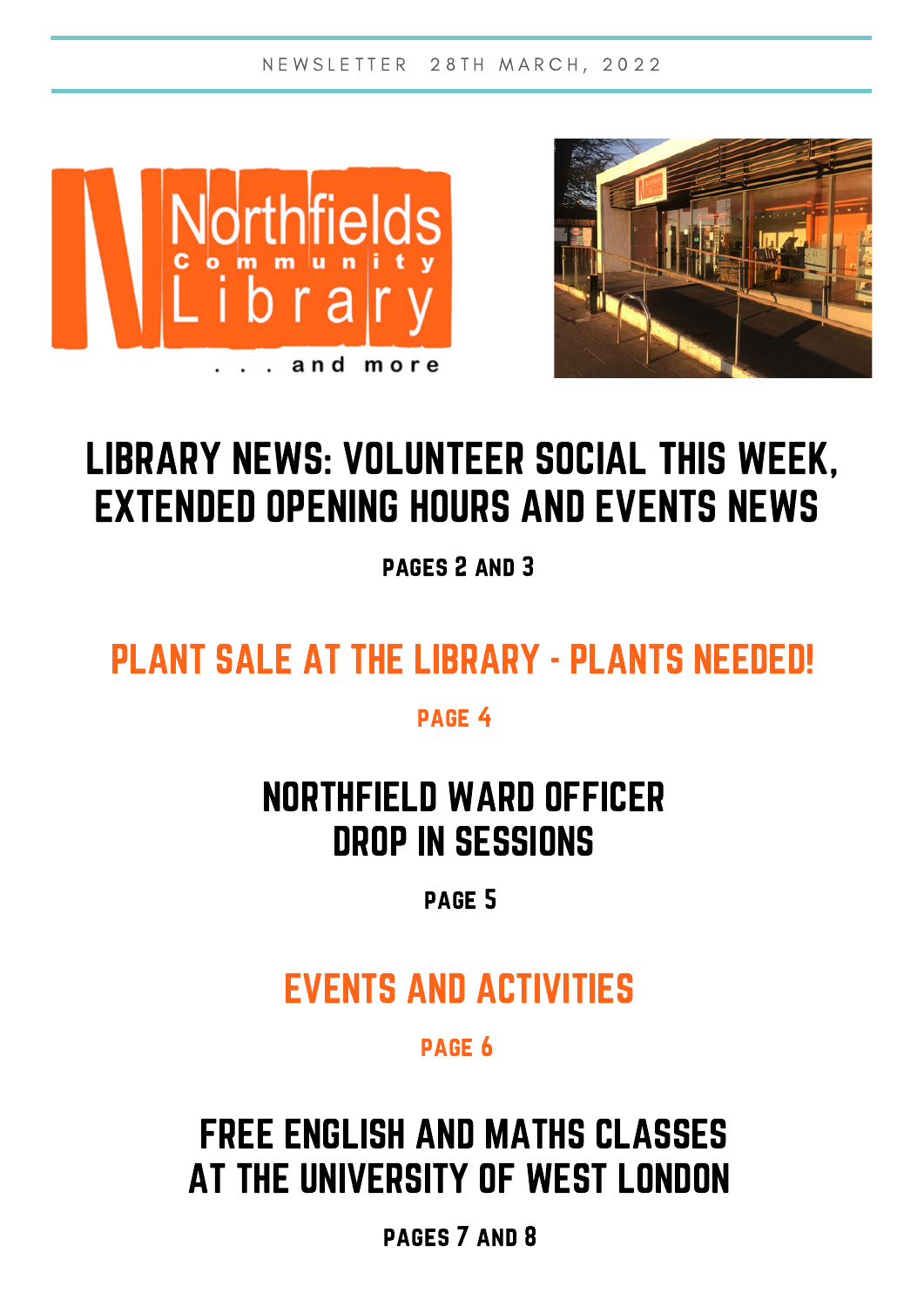N E W S L E T T E R 28 T H M A R C H , 2022





## LIBRARY NEWS: VOLUNTEER SOCIAL THIS WEEK, EXTENDED OPENING HOURS AND EVENTS NEWS

pages 2 and 3

## PLANT SALE AT THE LIBRARY - PLANTS NEEDED!

page 4

### NORTHFIELD WARD OFFICER DROP IN SESSIONS

page 5

### EVENTS AND ACTIVITIES

page 6

## FREE ENGLISH AND MATHS CLASSES AT THE UNIVERSITY OF WEST LONDON

pages 7 and 8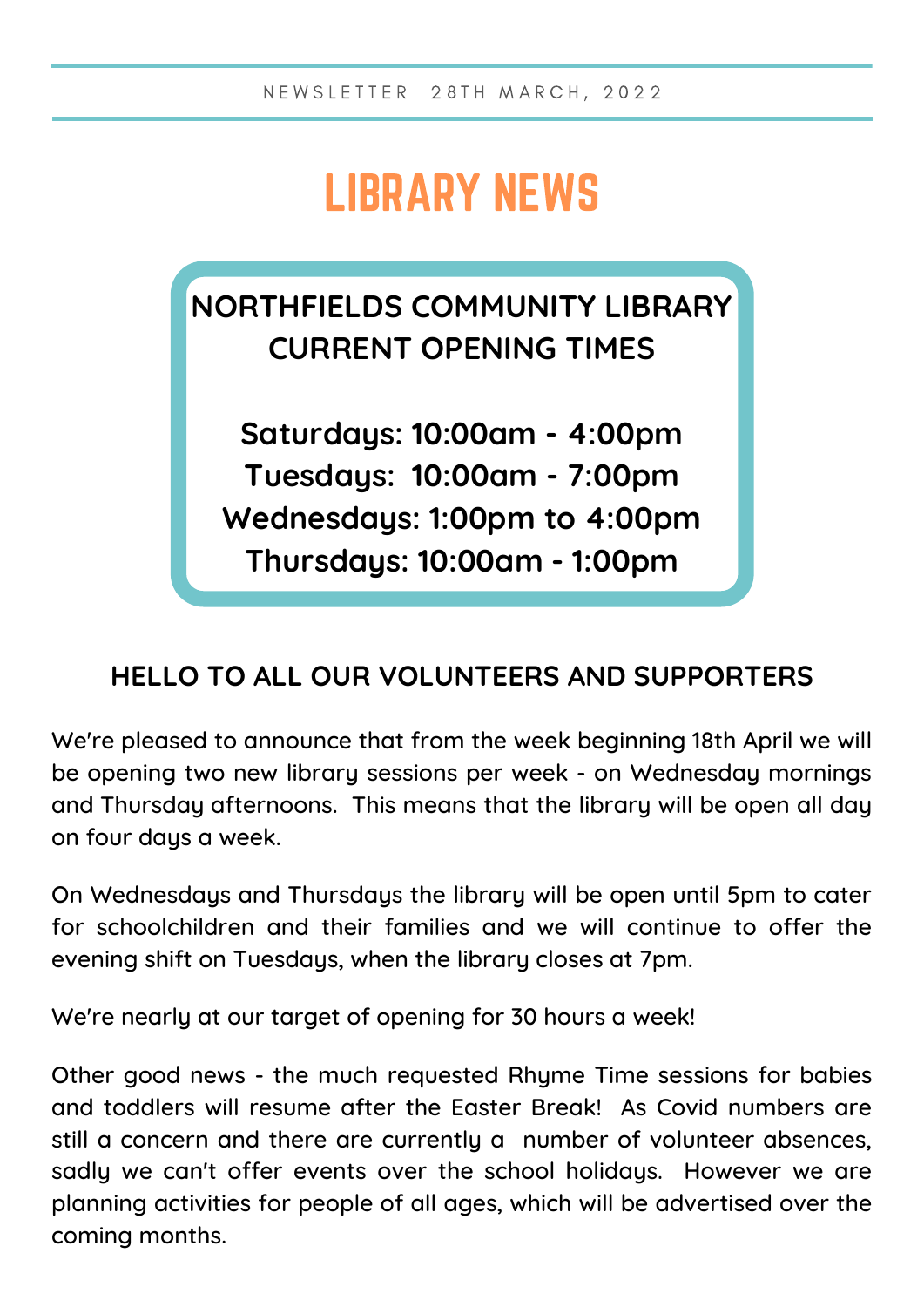# LIBRARY NEWS

### **NORTHFIELDS COMMUNITY LIBRARY CURRENT OPENING TIMES**

**Saturdays: 10:00am - 4:00pm Tuesdays: 10:00am - 7:00pm Wednesdays: 1:00pm to 4:00pm Thursdays: 10:00am - 1:00pm**

#### **HELLO TO ALL OUR VOLUNTEERS AND SUPPORTERS**

We're pleased to announce that from the week beginning 18th April we will be opening two new library sessions per week - on Wednesday mornings and Thursday afternoons. This means that the library will be open all day on four days a week.

On Wednesdays and Thursdays the library will be open until 5pm to cater for schoolchildren and their families and we will continue to offer the evening shift on Tuesdays, when the library closes at 7pm.

We're nearly at our target of opening for 30 hours a week!

Other good news - the much requested Rhyme Time sessions for babies and toddlers will resume after the Easter Break! As Covid numbers are still a concern and there are currently a number of volunteer absences, sadly we can't offer events over the school holidays. However we are planning activities for people of all ages, which will be advertised over the coming months.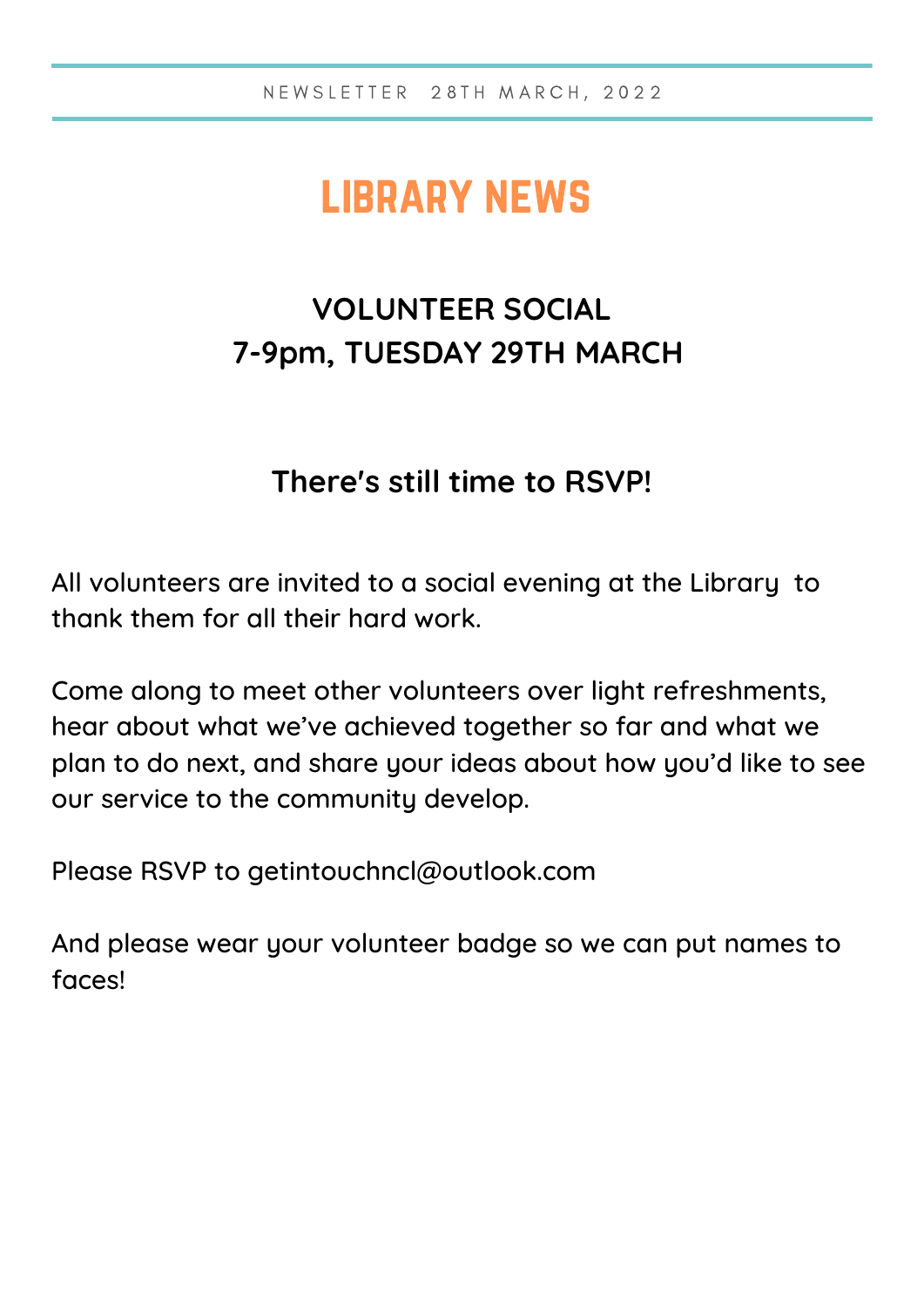## library news

### **VOLUNTEER SOCIAL 7-9pm, TUESDAY 29TH MARCH**

#### **There's still time to RSVP!**

All volunteers are invited to a social evening at the Library to thank them for all their hard work.

Come along to meet other volunteers over light refreshments, hear about what we've achieved together so far and what we plan to do next, and share your ideas about how you'd like to see our service to the community develop.

Please RSVP to [getintouchncl@outlook.com](mailto:getintouchncl@outlook.com)

And please wear your volunteer badge so we can put names to faces!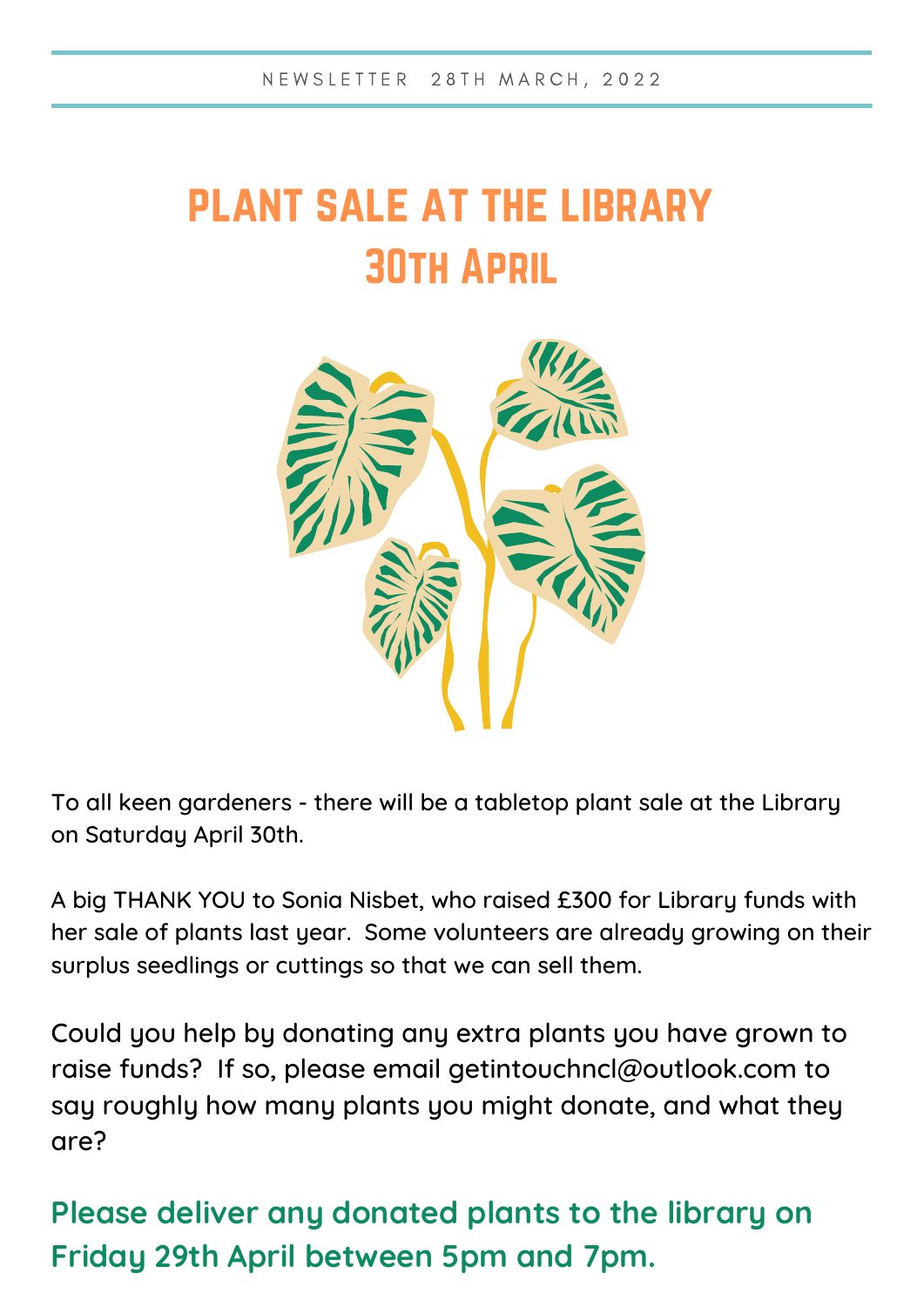# plant sale at the library 30th April



To all keen gardeners - there will be a tabletop plant sale at the Library on Saturday April 30th.

A big THANK YOU to Sonia Nisbet, who raised £300 for Library funds with her sale of plants last year. Some volunteers are already growing on their surplus seedlings or cuttings so that we can sell them.

Could you help by donating any extra plants you have grown to raise funds? If so, please email [getintouchncl@outlook.com](mailto:getintouchncl@outlook.com) to say roughly how many plants you might donate, and what they are?

**Please deliver any donated plants to the library on Friday 29th April between 5pm and 7pm.**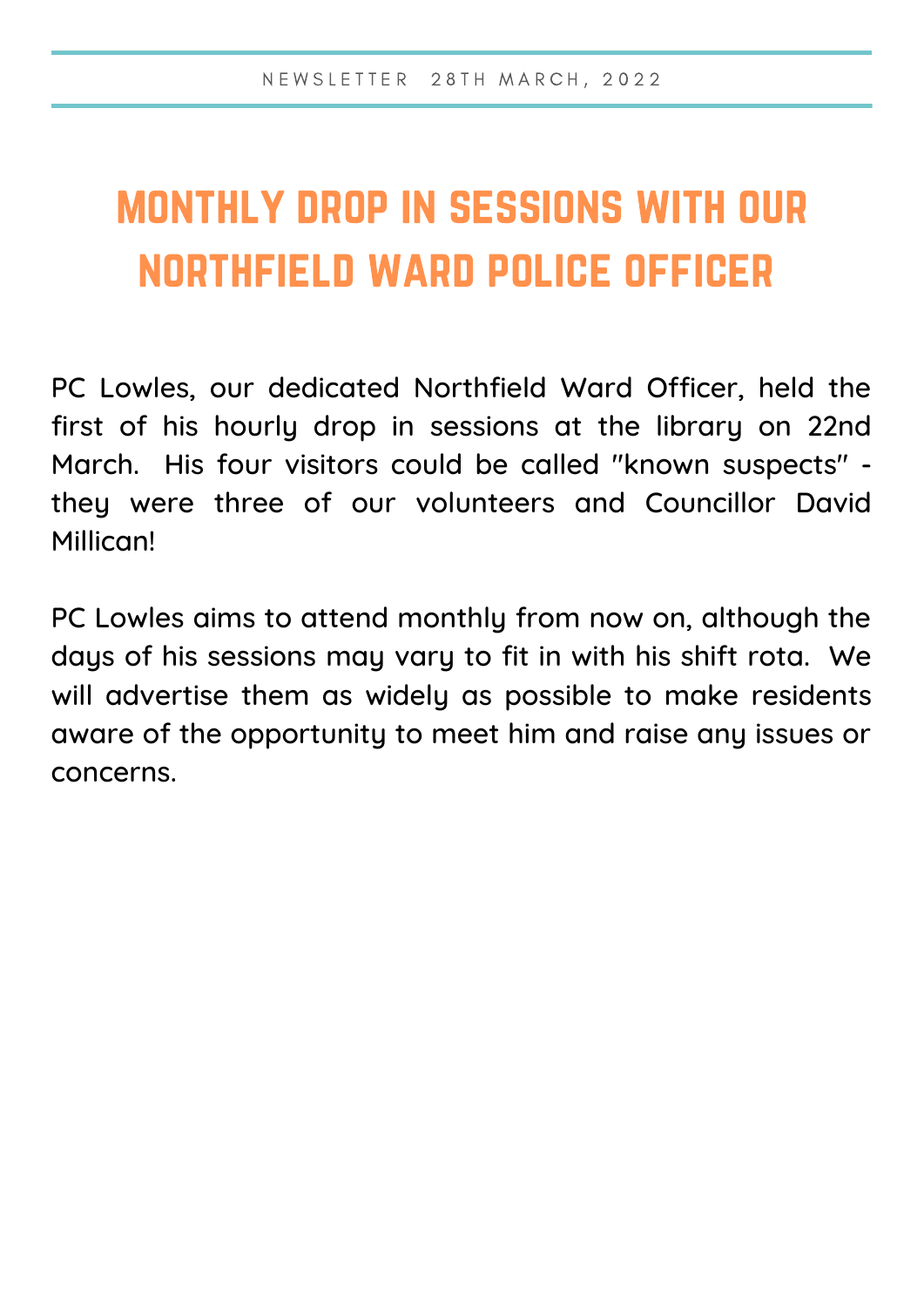# monthly drop in sessions with our northfield ward police officer

PC Lowles, our dedicated Northfield Ward Officer, held the first of his hourly drop in sessions at the library on 22nd March. His four visitors could be called "known suspects" they were three of our volunteers and Councillor David Millican!

PC Lowles aims to attend monthly from now on, although the days of his sessions may vary to fit in with his shift rota. We will advertise them as widely as possible to make residents aware of the opportunity to meet him and raise any issues or concerns.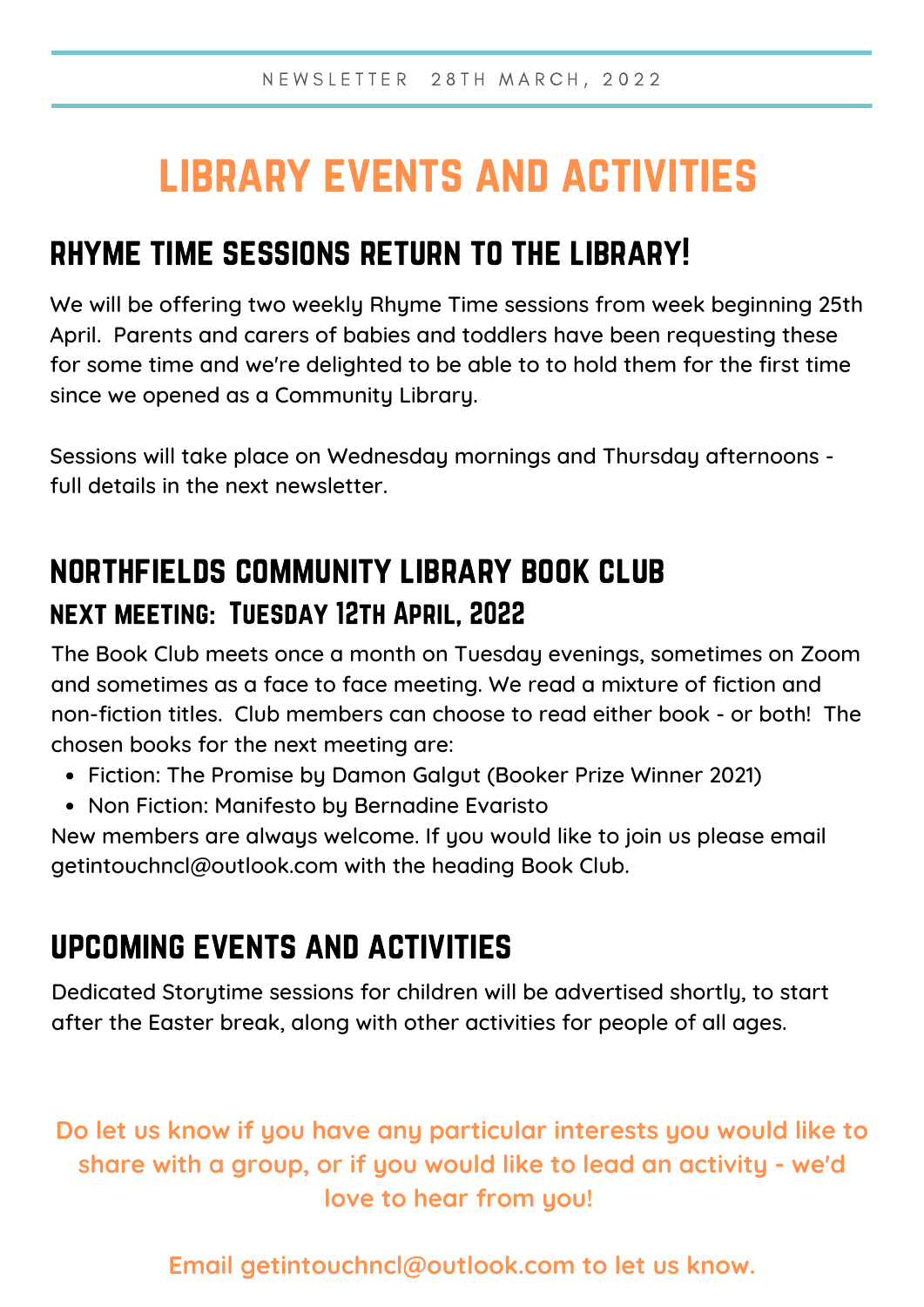## library events and activities

#### rhyme time sessions return to the library!

We will be offering two weekly Rhyme Time sessions from week beginning 25th April. Parents and carers of babies and toddlers have been requesting these for some time and we're delighted to be able to to hold them for the first time since we opened as a Community Library.

Sessions will take place on Wednesday mornings and Thursday afternoons full details in the next newsletter.

#### northfields community library book club next meeting: Tuesday 12th April, 2022

The Book Club meets once a month on Tuesday evenings, sometimes on Zoom and sometimes as a face to face meeting. We read a mixture of fiction and non-fiction titles. Club members can choose to read either book - or both! The chosen books for the next meeting are:

- Fiction: The Promise by Damon Galgut (Booker Prize Winner 2021)
- Non Fiction: Manifesto by Bernadine Evaristo

New members are always welcome. If you would like to join us please email getintouchncl@outlook.com with the heading Book Club.

### upcoming events and activities

Dedicated Storytime sessions for children will be advertised shortly, to start after the Easter break, along with other activities for people of all ages.

**Do let us know if you have any particular interests you would like to share with a group, or if you would like to lead an activity - we'd love to hear from you!**

**Email getintouchncl@outlook.com to let us know.**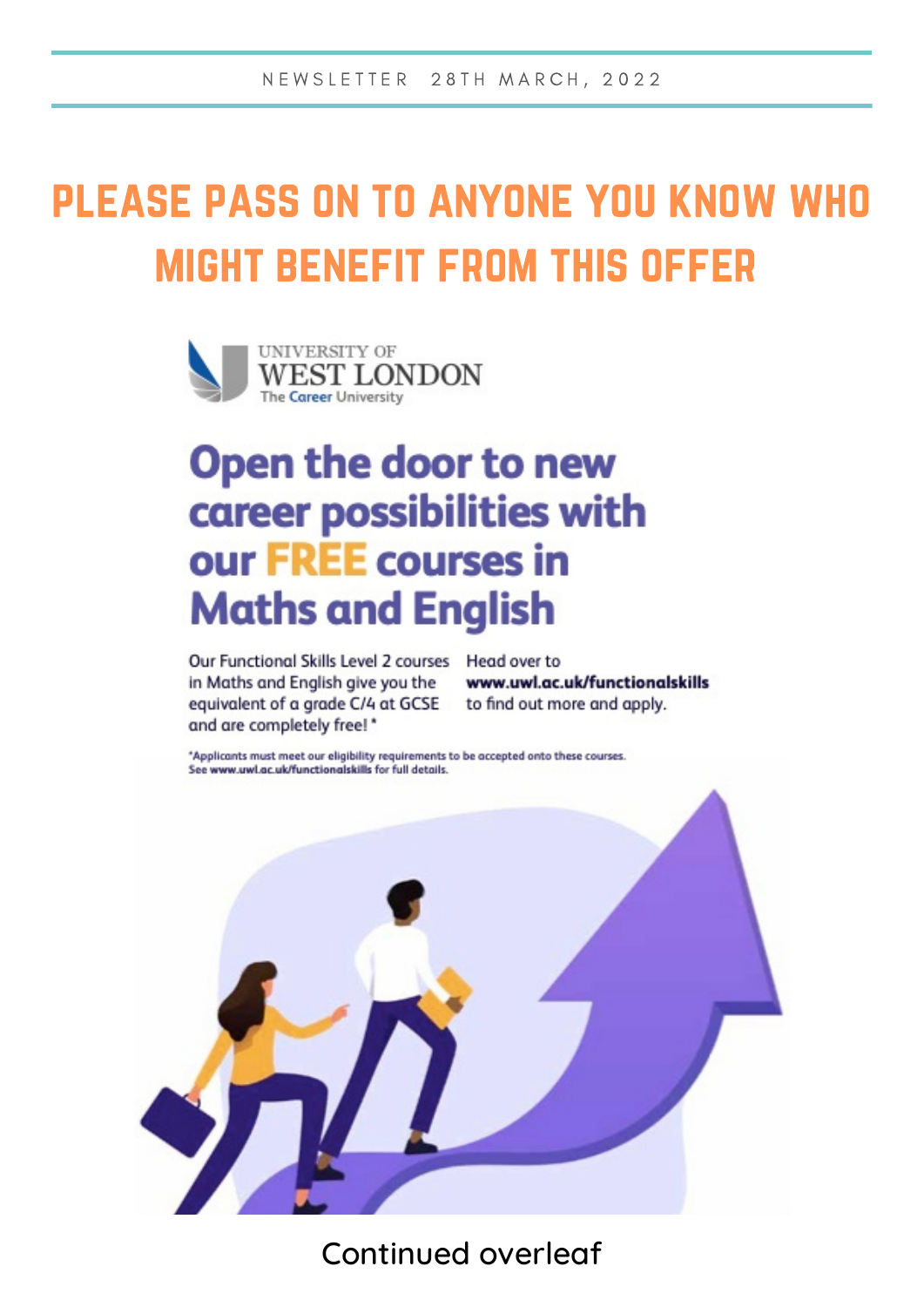# please pass on to anyone you know who might benefit from this offer



## Open the door to new career possibilities with our FREE courses in **Maths and English**

Our Functional Skills Level 2 courses Head over to in Maths and English give you the equivalent of a grade C/4 at GCSE and are completely free! \*

www.uwl.ac.uk/functionalskills to find out more and apply.

\*Applicants must meet our eligibility requirements to be accepted onto these courses. See www.uwl.ac.uk/functionalskills for full details.



Continued overleaf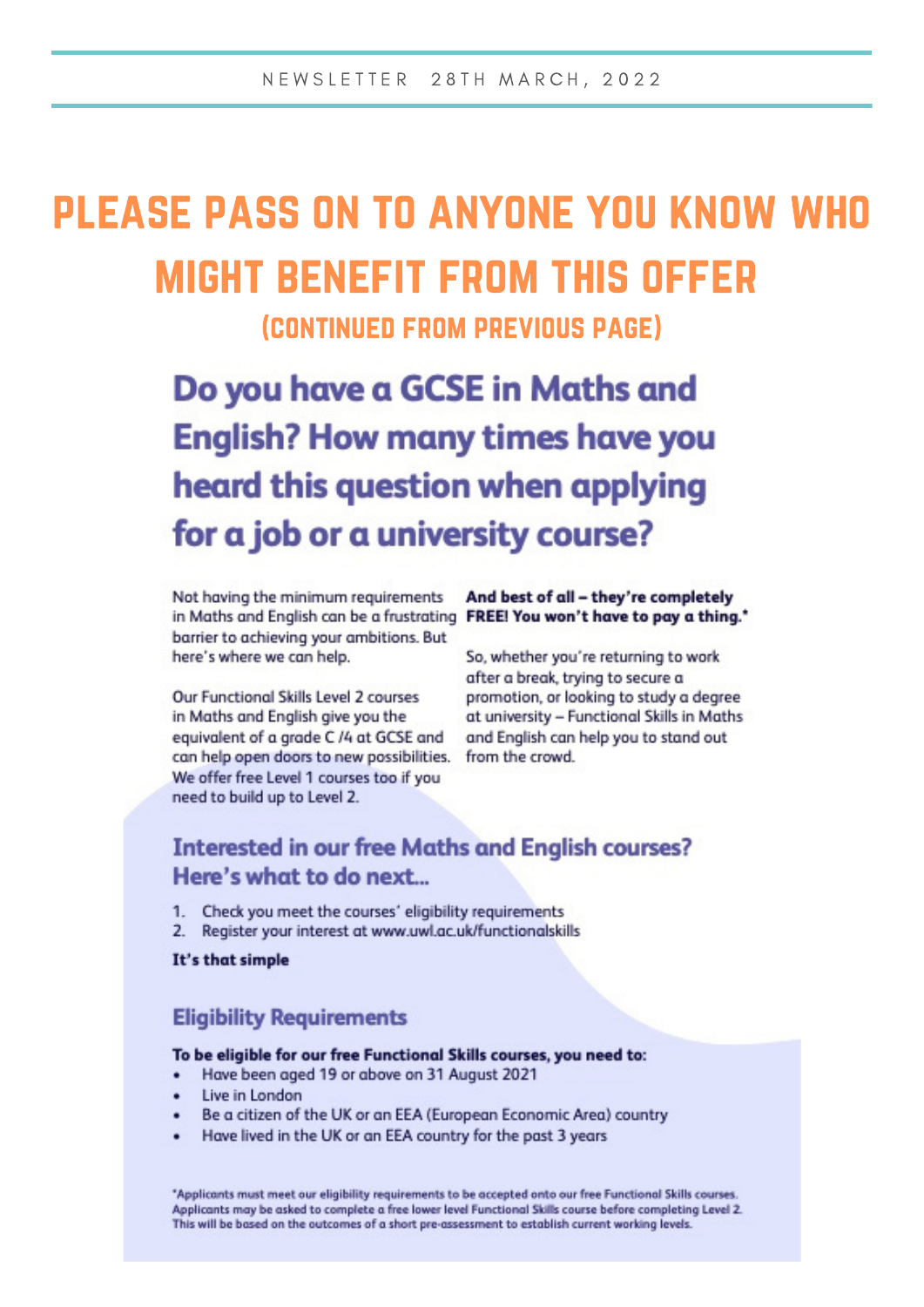# please pass on to anyone you know who might benefit from this offer

(continued from previous page)

Do you have a GCSE in Maths and **English? How many times have you** heard this question when applying for a job or a university course?

Not having the minimum requirements in Maths and English can be a frustrating FREE! You won't have to pay a thing." barrier to achieving your ambitions. But here's where we can help.

Our Functional Skills Level 2 courses in Maths and English give you the equivalent of a grade C /4 at GCSE and can help open doors to new possibilities. We offer free Level 1 courses too if you need to build up to Level 2.

And best of all - they're completely

So, whether you're returning to work after a break, trying to secure a promotion, or looking to study a degree at university - Functional Skills in Maths and English can help you to stand out from the crowd.

#### **Interested in our free Maths and English courses?** Here's what to do next...

- Check you meet the courses' eligibility requirements  $1.$
- $2.$ Register your interest at www.uwl.ac.uk/functionalskills

It's that simple

#### **Eligibility Requirements**

#### To be eligible for our free Functional Skills courses, you need to:

- Have been aged 19 or above on 31 August 2021
- Live in London
- Be a citizen of the UK or an EEA (European Economic Area) country
- Have lived in the UK or an EEA country for the past 3 years

\*Applicants must meet our eligibility requirements to be accepted onto our free Functional Skills courses. Applicants may be asked to complete a free lower level Functional Skills course before completing Level 2. This will be based on the outcomes of a short pre-assessment to establish current working levels.